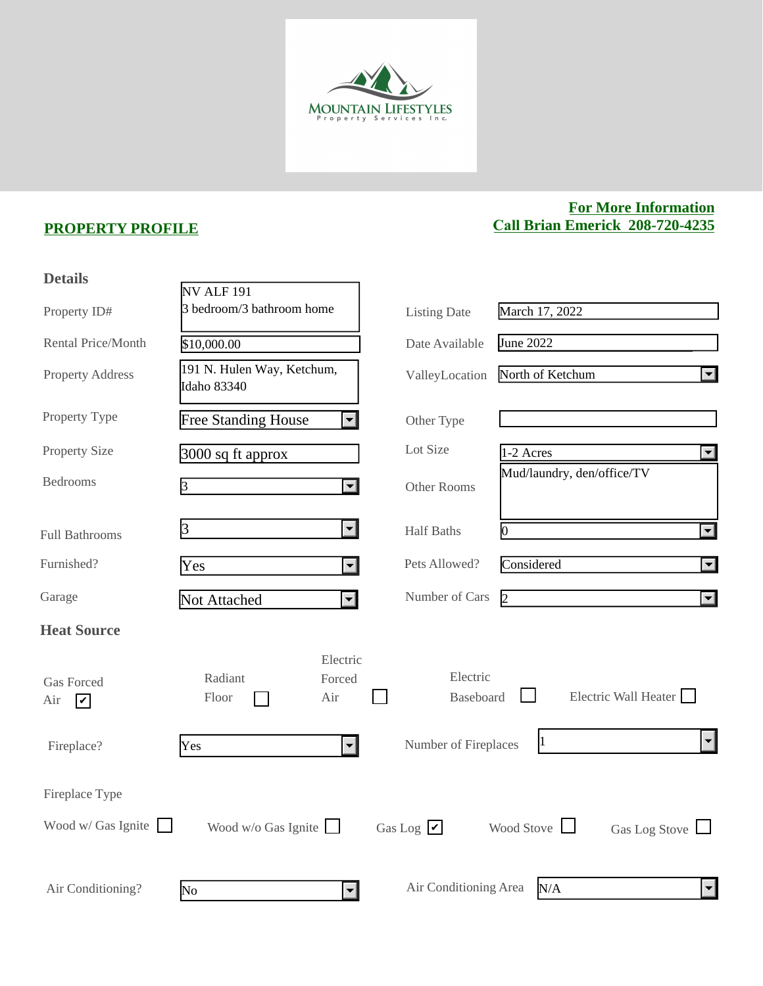

## **PROPERTY PROFILE**

## **For More Information Call Brian Emerick 208-720-4235**

| <b>Details</b>                                          |                                                           |                              |                                              |
|---------------------------------------------------------|-----------------------------------------------------------|------------------------------|----------------------------------------------|
|                                                         | NV ALF 191                                                |                              |                                              |
| Property ID#                                            | 3 bedroom/3 bathroom home                                 | <b>Listing Date</b>          | March 17, 2022                               |
| Rental Price/Month                                      | \$10,000.00                                               | Date Available               | June 2022                                    |
| <b>Property Address</b>                                 | 191 N. Hulen Way, Ketchum,<br>Idaho 83340                 | ValleyLocation               | North of Ketchum<br>$\left  \bullet \right $ |
| Property Type                                           | <b>Free Standing House</b><br>$\left  \mathbf{v} \right $ | Other Type                   |                                              |
| <b>Property Size</b>                                    | $3000$ sq ft approx                                       | Lot Size                     | $1-2$ Acres<br>$\vert \textbf{v} \vert$      |
| <b>Bedrooms</b>                                         | 3<br>$\blacktriangledown$                                 | Other Rooms                  | Mud/laundry, den/office/TV                   |
| <b>Full Bathrooms</b>                                   | $\left  \mathbf{v} \right $<br>$\beta$                    | <b>Half Baths</b>            | $\overline{\mathbf{v}}$<br>0                 |
| Furnished?                                              | Yes<br>$\left  \cdot \right $                             | Pets Allowed?                | Considered<br>$\vert \textbf{v} \vert$       |
| Garage                                                  | Not Attached<br>$\left  \cdot \right $                    | Number of Cars               | $\overline{2}$<br>$\vert \textbf{y} \vert$   |
| <b>Heat Source</b>                                      |                                                           |                              |                                              |
| <b>Gas Forced</b><br>Air<br>$\vert\bm{\mathsf{v}}\vert$ | Electric<br>Radiant<br>Forced<br>Floor<br>Air             | Electric<br><b>Baseboard</b> | Electric Wall Heater                         |
| Fireplace?                                              | Yes<br>$\left  \cdot \right $                             | Number of Fireplaces         | 1<br>$\left  \mathbf{v} \right $             |
| Fireplace Type                                          |                                                           |                              |                                              |
| Wood w/ Gas Ignite $\Box$                               | Wood w/o Gas Ignite $\Box$                                | Gas Log $\triangleright$     | Wood Stove<br>Gas Log Stove                  |
| Air Conditioning?                                       | $\overline{\mathbf{r}}$<br>$\overline{\text{No}}$         | Air Conditioning Area        | N/A<br>$\vert \mathbf{v} \vert$              |